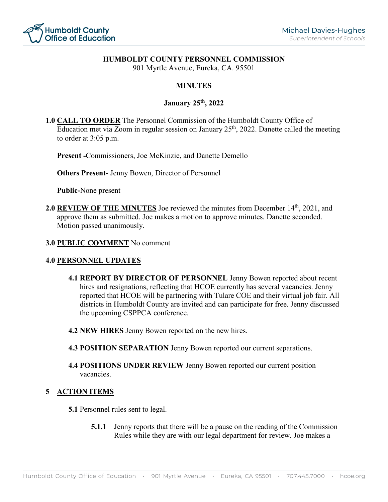

## **HUMBOLDT COUNTY PERSONNEL COMMISSION**

901 Myrtle Avenue, Eureka, CA. 95501

# **MINUTES**

## **January 25th, 2022**

**1.0 CALL TO ORDER** The Personnel Commission of the Humboldt County Office of Education met via Zoom in regular session on January 25<sup>th</sup>, 2022. Danette called the meeting to order at 3:05 p.m.

**Present -**Commissioners, Joe McKinzie, and Danette Demello

**Others Present-** Jenny Bowen, Director of Personnel

**Public-**None present

2.0 **REVIEW OF THE MINUTES** Joe reviewed the minutes from December 14<sup>th</sup>, 2021, and approve them as submitted. Joe makes a motion to approve minutes. Danette seconded. Motion passed unanimously.

#### **3.0 PUBLIC COMMENT** No comment

#### **4.0 PERSONNEL UPDATES**

- **4.1 REPORT BY DIRECTOR OF PERSONNEL** Jenny Bowen reported about recent hires and resignations, reflecting that HCOE currently has several vacancies. Jenny reported that HCOE will be partnering with Tulare COE and their virtual job fair. All districts in Humboldt County are invited and can participate for free. Jenny discussed the upcoming CSPPCA conference.
- **4.2 NEW HIRES** Jenny Bowen reported on the new hires.
- **4.3 POSITION SEPARATION** Jenny Bowen reported our current separations.
- **4.4 POSITIONS UNDER REVIEW** Jenny Bowen reported our current position vacancies.

## **5 ACTION ITEMS**

**5.1** Personnel rules sent to legal.

**5.1.1** Jenny reports that there will be a pause on the reading of the Commission Rules while they are with our legal department for review. Joe makes a